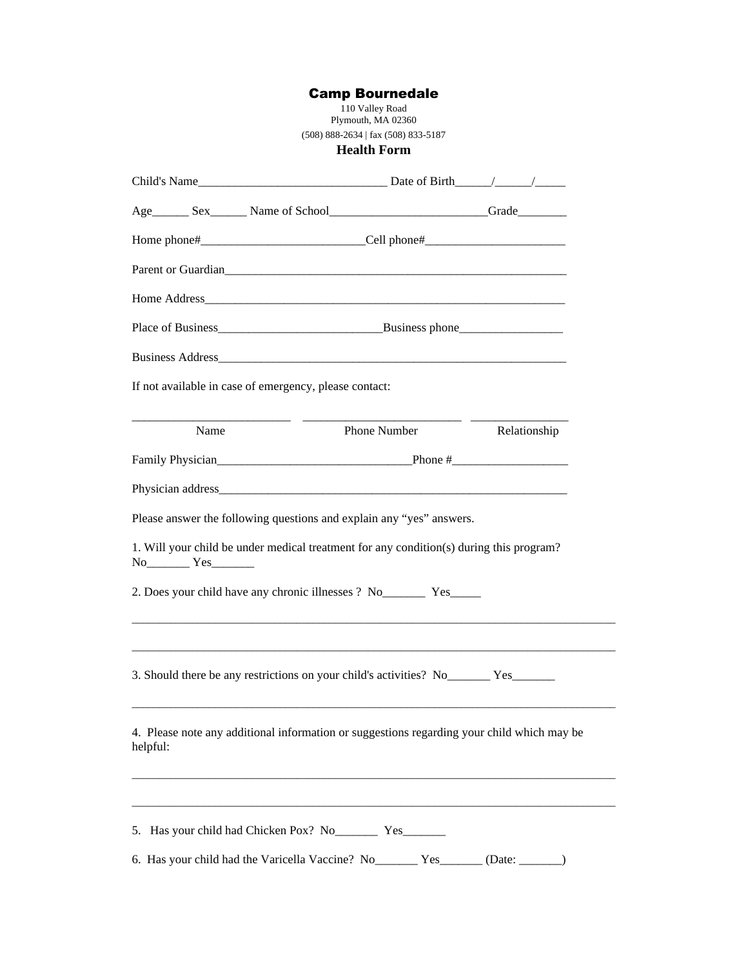## Camp Bournedale

110 Valley Road Plymouth, MA 02360 (508) 888-2634 | fax (508) 833-5187 **Health Form**

| Age  ______ Sex  ______ Name of School  _______________________________Grade ___________________________________Grade                                               |              |              |  |
|---------------------------------------------------------------------------------------------------------------------------------------------------------------------|--------------|--------------|--|
| Home phone#________________________________Cell phone#__________________________                                                                                    |              |              |  |
| Parent or Guardian                                                                                                                                                  |              |              |  |
|                                                                                                                                                                     |              |              |  |
|                                                                                                                                                                     |              |              |  |
|                                                                                                                                                                     |              |              |  |
| If not available in case of emergency, please contact:                                                                                                              |              |              |  |
| Name                                                                                                                                                                | Phone Number | Relationship |  |
|                                                                                                                                                                     |              |              |  |
|                                                                                                                                                                     |              |              |  |
| Please answer the following questions and explain any "yes" answers.                                                                                                |              |              |  |
| 1. Will your child be under medical treatment for any condition(s) during this program?<br>$No$ $Yes$ $Yes$                                                         |              |              |  |
| 2. Does your child have any chronic illnesses ? No<br>Yes <u>Section</u>                                                                                            |              |              |  |
| 3. Should there be any restrictions on your child's activities? No ________ Yes________                                                                             |              |              |  |
| 4. Please note any additional information or suggestions regarding your child which may be<br>helpful:                                                              |              |              |  |
| 5. Has your child had Chicken Pox? No<br>Yes <u>Carl Ves</u> <sub>No</sub><br>6. Has your child had the Varicella Vaccine? No _________ Yes _______ (Date: _______) |              |              |  |